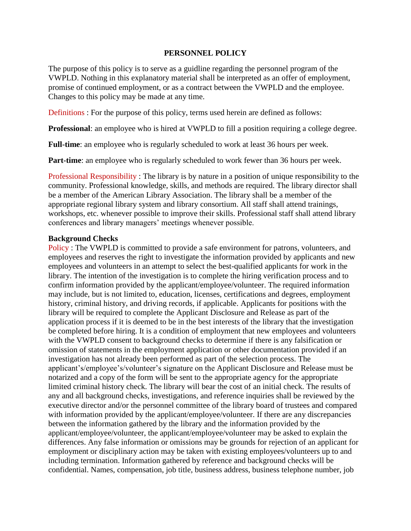### **PERSONNEL POLICY**

The purpose of this policy is to serve as a guidline regarding the personnel program of the VWPLD. Nothing in this explanatory material shall be interpreted as an offer of employment, promise of continued employment, or as a contract between the VWPLD and the employee. Changes to this policy may be made at any time.

Definitions : For the purpose of this policy, terms used herein are defined as follows:

**Professional:** an employee who is hired at VWPLD to fill a position requiring a college degree.

Full-time: an employee who is regularly scheduled to work at least 36 hours per week.

**Part-time**: an employee who is regularly scheduled to work fewer than 36 hours per week.

Professional Responsibility : The library is by nature in a position of unique responsibility to the community. Professional knowledge, skills, and methods are required. The library director shall be a member of the American Library Association. The library shall be a member of the appropriate regional library system and library consortium. All staff shall attend trainings, workshops, etc. whenever possible to improve their skills. Professional staff shall attend library conferences and library managers' meetings whenever possible.

### **Background Checks**

Policy : The VWPLD is committed to provide a safe environment for patrons, volunteers, and employees and reserves the right to investigate the information provided by applicants and new employees and volunteers in an attempt to select the best-qualified applicants for work in the library. The intention of the investigation is to complete the hiring verification process and to confirm information provided by the applicant/employee/volunteer. The required information may include, but is not limited to, education, licenses, certifications and degrees, employment history, criminal history, and driving records, if applicable. Applicants for positions with the library will be required to complete the Applicant Disclosure and Release as part of the application process if it is deemed to be in the best interests of the library that the investigation be completed before hiring. It is a condition of employment that new employees and volunteers with the VWPLD consent to background checks to determine if there is any falsification or omission of statements in the employment application or other documentation provided if an investigation has not already been performed as part of the selection process. The applicant's/employee's/volunteer's signature on the Applicant Disclosure and Release must be notarized and a copy of the form will be sent to the appropriate agency for the appropriate limited criminal history check. The library will bear the cost of an initial check. The results of any and all background checks, investigations, and reference inquiries shall be reviewed by the executive director and/or the personnel committee of the library board of trustees and compared with information provided by the applicant/employee/volunteer. If there are any discrepancies between the information gathered by the library and the information provided by the applicant/employee/volunteer, the applicant/employee/volunteer may be asked to explain the differences. Any false information or omissions may be grounds for rejection of an applicant for employment or disciplinary action may be taken with existing employees/volunteers up to and including termination. Information gathered by reference and background checks will be confidential. Names, compensation, job title, business address, business telephone number, job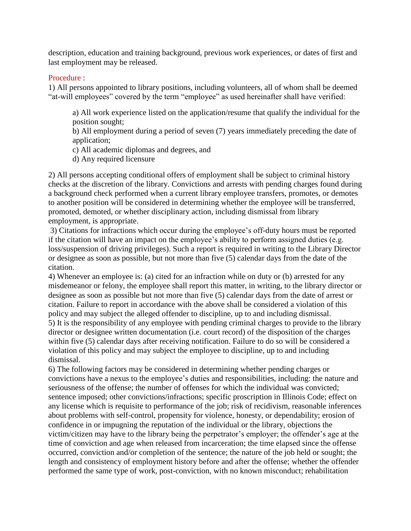description, education and training background, previous work experiences, or dates of first and last employment may be released.

### Procedure :

1) All persons appointed to library positions, including volunteers, all of whom shall be deemed "at-will employees" covered by the term "employee" as used hereinafter shall have verified:

a) All work experience listed on the application/resume that qualify the individual for the position sought;

b) All employment during a period of seven (7) years immediately preceding the date of application;

c) All academic diplomas and degrees, and

d) Any required licensure

2) All persons accepting conditional offers of employment shall be subject to criminal history checks at the discretion of the library. Convictions and arrests with pending charges found during a background check performed when a current library employee transfers, promotes, or demotes to another position will be considered in determining whether the employee will be transferred, promoted, demoted, or whether disciplinary action, including dismissal from library employment, is appropriate.

3) Citations for infractions which occur during the employee's off-duty hours must be reported if the citation will have an impact on the employee's ability to perform assigned duties (e.g. loss/suspension of driving privileges). Such a report is required in writing to the Library Director or designee as soon as possible, but not more than five (5) calendar days from the date of the citation.

4) Whenever an employee is: (a) cited for an infraction while on duty or (b) arrested for any misdemeanor or felony, the employee shall report this matter, in writing, to the library director or designee as soon as possible but not more than five (5) calendar days from the date of arrest or citation. Failure to report in accordance with the above shall be considered a violation of this policy and may subject the alleged offender to discipline, up to and including dismissal. 5) It is the responsibility of any employee with pending criminal charges to provide to the library director or designee written documentation (i.e. court record) of the disposition of the charges within five (5) calendar days after receiving notification. Failure to do so will be considered a violation of this policy and may subject the employee to discipline, up to and including dismissal.

6) The following factors may be considered in determining whether pending charges or convictions have a nexus to the employee's duties and responsibilities, including: the nature and seriousness of the offense; the number of offenses for which the individual was convicted; sentence imposed; other convictions/infractions; specific proscription in Illinois Code; effect on any license which is requisite to performance of the job; risk of recidivism, reasonable inferences about problems with self-control, propensity for violence, honesty, or dependability; erosion of confidence in or impugning the reputation of the individual or the library, objections the victim/citizen may have to the library being the perpetrator's employer; the offender's age at the time of conviction and age when released from incarceration; the time elapsed since the offense occurred, conviction and/or completion of the sentence; the nature of the job held or sought; the length and consistency of employment history before and after the offense; whether the offender performed the same type of work, post-conviction, with no known misconduct; rehabilitation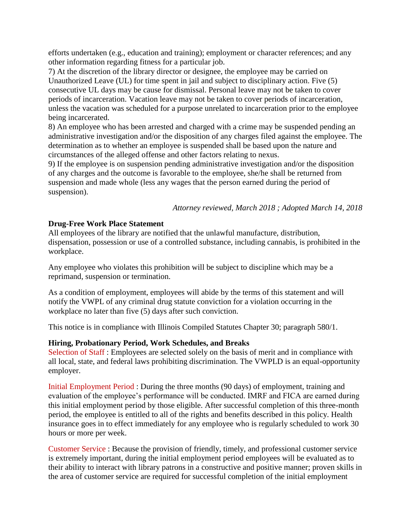efforts undertaken (e.g., education and training); employment or character references; and any other information regarding fitness for a particular job.

7) At the discretion of the library director or designee, the employee may be carried on Unauthorized Leave (UL) for time spent in jail and subject to disciplinary action. Five (5) consecutive UL days may be cause for dismissal. Personal leave may not be taken to cover periods of incarceration. Vacation leave may not be taken to cover periods of incarceration, unless the vacation was scheduled for a purpose unrelated to incarceration prior to the employee being incarcerated.

8) An employee who has been arrested and charged with a crime may be suspended pending an administrative investigation and/or the disposition of any charges filed against the employee. The determination as to whether an employee is suspended shall be based upon the nature and circumstances of the alleged offense and other factors relating to nexus.

9) If the employee is on suspension pending administrative investigation and/or the disposition of any charges and the outcome is favorable to the employee, she/he shall be returned from suspension and made whole (less any wages that the person earned during the period of suspension).

*Attorney reviewed, March 2018 ; Adopted March 14, 2018*

# **Drug-Free Work Place Statement**

All employees of the library are notified that the unlawful manufacture, distribution, dispensation, possession or use of a controlled substance, including cannabis, is prohibited in the workplace.

Any employee who violates this prohibition will be subject to discipline which may be a reprimand, suspension or termination.

As a condition of employment, employees will abide by the terms of this statement and will notify the VWPL of any criminal drug statute conviction for a violation occurring in the workplace no later than five (5) days after such conviction.

This notice is in compliance with Illinois Compiled Statutes Chapter 30; paragraph 580/1.

# **Hiring, Probationary Period, Work Schedules, and Breaks**

Selection of Staff : Employees are selected solely on the basis of merit and in compliance with all local, state, and federal laws prohibiting discrimination. The VWPLD is an equal-opportunity employer.

Initial Employment Period : During the three months (90 days) of employment, training and evaluation of the employee's performance will be conducted. IMRF and FICA are earned during this initial employment period by those eligible. After successful completion of this three-month period, the employee is entitled to all of the rights and benefits described in this policy. Health insurance goes in to effect immediately for any employee who is regularly scheduled to work 30 hours or more per week.

Customer Service : Because the provision of friendly, timely, and professional customer service is extremely important, during the initial employment period employees will be evaluated as to their ability to interact with library patrons in a constructive and positive manner; proven skills in the area of customer service are required for successful completion of the initial employment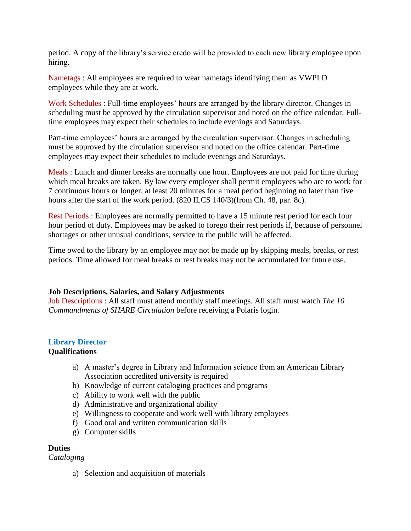period. A copy of the library's service credo will be provided to each new library employee upon hiring.

Nametags : All employees are required to wear nametags identifying them as VWPLD employees while they are at work.

Work Schedules : Full-time employees' hours are arranged by the library director. Changes in scheduling must be approved by the circulation supervisor and noted on the office calendar. Fulltime employees may expect their schedules to include evenings and Saturdays.

Part-time employees' hours are arranged by the circulation supervisor. Changes in scheduling must be approved by the circulation supervisor and noted on the office calendar. Part-time employees may expect their schedules to include evenings and Saturdays.

Meals : Lunch and dinner breaks are normally one hour. Employees are not paid for time during which meal breaks are taken. By law every employer shall permit employees who are to work for 7 continuous hours or longer, at least 20 minutes for a meal period beginning no later than five hours after the start of the work period. (820 ILCS 140/3)(from Ch. 48, par. 8c).

Rest Periods : Employees are normally permitted to have a 15 minute rest period for each four hour period of duty. Employees may be asked to forego their rest periods if, because of personnel shortages or other unusual conditions, service to the public will be affected.

Time owed to the library by an employee may not be made up by skipping meals, breaks, or rest periods. Time allowed for meal breaks or rest breaks may not be accumulated for future use.

# **Job Descriptions, Salaries, and Salary Adjustments**

Job Descriptions : All staff must attend monthly staff meetings. All staff must watch *The 10 Commandments of SHARE Circulation* before receiving a Polaris login.

#### **Library Director Qualifications**

- a) A master's degree in Library and Information science from an American Library Association accredited university is required
- b) Knowledge of current cataloging practices and programs
- c) Ability to work well with the public
- d) Administrative and organizational ability
- e) Willingness to cooperate and work well with library employees
- f) Good oral and written communication skills
- g) Computer skills

# **Duties**

*Cataloging*

a) Selection and acquisition of materials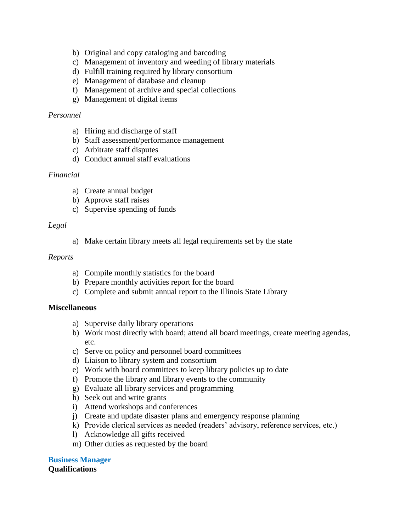- b) Original and copy cataloging and barcoding
- c) Management of inventory and weeding of library materials
- d) Fulfill training required by library consortium
- e) Management of database and cleanup
- f) Management of archive and special collections
- g) Management of digital items

# *Personnel*

- a) Hiring and discharge of staff
- b) Staff assessment/performance management
- c) Arbitrate staff disputes
- d) Conduct annual staff evaluations

### *Financial*

- a) Create annual budget
- b) Approve staff raises
- c) Supervise spending of funds

### *Legal*

a) Make certain library meets all legal requirements set by the state

### *Reports*

- a) Compile monthly statistics for the board
- b) Prepare monthly activities report for the board
- c) Complete and submit annual report to the Illinois State Library

#### **Miscellaneous**

- a) Supervise daily library operations
- b) Work most directly with board; attend all board meetings, create meeting agendas, etc.
- c) Serve on policy and personnel board committees
- d) Liaison to library system and consortium
- e) Work with board committees to keep library policies up to date
- f) Promote the library and library events to the community
- g) Evaluate all library services and programming
- h) Seek out and write grants
- i) Attend workshops and conferences
- j) Create and update disaster plans and emergency response planning
- k) Provide clerical services as needed (readers' advisory, reference services, etc.)
- l) Acknowledge all gifts received
- m) Other duties as requested by the board

#### **Business Manager Qualifications**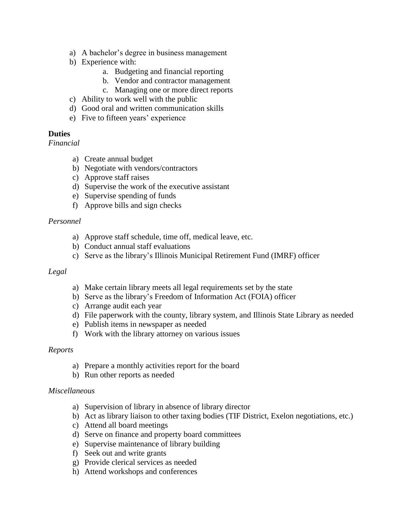- a) A bachelor's degree in business management
- b) Experience with:
	- a. Budgeting and financial reporting
	- b. Vendor and contractor management
	- c. Managing one or more direct reports
- c) Ability to work well with the public
- d) Good oral and written communication skills
- e) Five to fifteen years' experience

# **Duties**

*Financial*

- a) Create annual budget
- b) Negotiate with vendors/contractors
- c) Approve staff raises
- d) Supervise the work of the executive assistant
- e) Supervise spending of funds
- f) Approve bills and sign checks

### *Personnel*

- a) Approve staff schedule, time off, medical leave, etc.
- b) Conduct annual staff evaluations
- c) Serve as the library's Illinois Municipal Retirement Fund (IMRF) officer

### *Legal*

- a) Make certain library meets all legal requirements set by the state
- b) Serve as the library's Freedom of Information Act (FOIA) officer
- c) Arrange audit each year
- d) File paperwork with the county, library system, and Illinois State Library as needed
- e) Publish items in newspaper as needed
- f) Work with the library attorney on various issues

### *Reports*

- a) Prepare a monthly activities report for the board
- b) Run other reports as needed

### *Miscellaneous*

- a) Supervision of library in absence of library director
- b) Act as library liaison to other taxing bodies (TIF District, Exelon negotiations, etc.)
- c) Attend all board meetings
- d) Serve on finance and property board committees
- e) Supervise maintenance of library building
- f) Seek out and write grants
- g) Provide clerical services as needed
- h) Attend workshops and conferences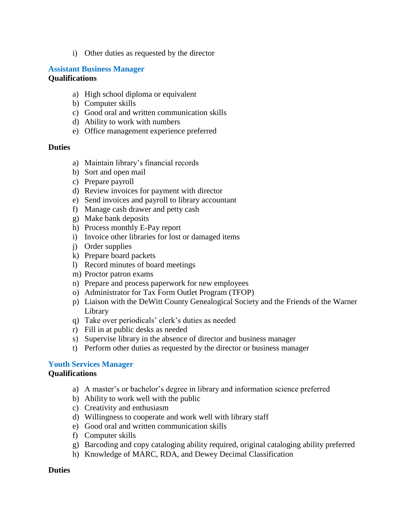i) Other duties as requested by the director

### **Assistant Business Manager Qualifications**

- a) High school diploma or equivalent
- b) Computer skills
- c) Good oral and written communication skills
- d) Ability to work with numbers
- e) Office management experience preferred

# **Duties**

- a) Maintain library's financial records
- b) Sort and open mail
- c) Prepare payroll
- d) Review invoices for payment with director
- e) Send invoices and payroll to library accountant
- f) Manage cash drawer and petty cash
- g) Make bank deposits
- h) Process monthly E-Pay report
- i) Invoice other libraries for lost or damaged items
- j) Order supplies
- k) Prepare board packets
- l) Record minutes of board meetings
- m) Proctor patron exams
- n) Prepare and process paperwork for new employees
- o) Administrator for Tax Form Outlet Program (TFOP)
- p) Liaison with the DeWitt County Genealogical Society and the Friends of the Warner Library
- q) Take over periodicals' clerk's duties as needed
- r) Fill in at public desks as needed
- s) Supervise library in the absence of director and business manager
- t) Perform other duties as requested by the director or business manager

### **Youth Services Manager**

#### **Qualifications**

- a) A master's or bachelor's degree in library and information science preferred
- b) Ability to work well with the public
- c) Creativity and enthusiasm
- d) Willingness to cooperate and work well with library staff
- e) Good oral and written communication skills
- f) Computer skills
- g) Barcoding and copy cataloging ability required, original cataloging ability preferred
- h) Knowledge of MARC, RDA, and Dewey Decimal Classification

#### **Duties**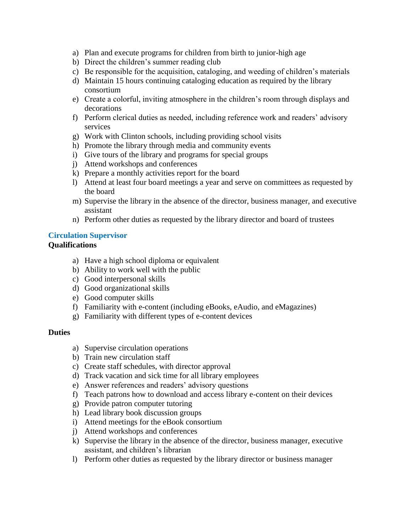- a) Plan and execute programs for children from birth to junior-high age
- b) Direct the children's summer reading club
- c) Be responsible for the acquisition, cataloging, and weeding of children's materials
- d) Maintain 15 hours continuing cataloging education as required by the library consortium
- e) Create a colorful, inviting atmosphere in the children's room through displays and decorations
- f) Perform clerical duties as needed, including reference work and readers' advisory services
- g) Work with Clinton schools, including providing school visits
- h) Promote the library through media and community events
- i) Give tours of the library and programs for special groups
- j) Attend workshops and conferences
- k) Prepare a monthly activities report for the board
- l) Attend at least four board meetings a year and serve on committees as requested by the board
- m) Supervise the library in the absence of the director, business manager, and executive assistant
- n) Perform other duties as requested by the library director and board of trustees

# **Circulation Supervisor**

# **Qualifications**

- a) Have a high school diploma or equivalent
- b) Ability to work well with the public
- c) Good interpersonal skills
- d) Good organizational skills
- e) Good computer skills
- f) Familiarity with e-content (including eBooks, eAudio, and eMagazines)
- g) Familiarity with different types of e-content devices

### **Duties**

- a) Supervise circulation operations
- b) Train new circulation staff
- c) Create staff schedules, with director approval
- d) Track vacation and sick time for all library employees
- e) Answer references and readers' advisory questions
- f) Teach patrons how to download and access library e-content on their devices
- g) Provide patron computer tutoring
- h) Lead library book discussion groups
- i) Attend meetings for the eBook consortium
- j) Attend workshops and conferences
- k) Supervise the library in the absence of the director, business manager, executive assistant, and children's librarian
- l) Perform other duties as requested by the library director or business manager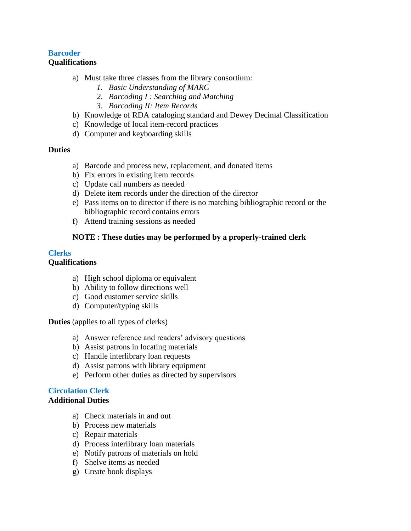# **Barcoder Qualifications**

- a) Must take three classes from the library consortium:
	- *1. Basic Understanding of MARC*
	- *2. Barcoding I : Searching and Matching*
	- *3. Barcoding II: Item Records*
- b) Knowledge of RDA cataloging standard and Dewey Decimal Classification
- c) Knowledge of local item-record practices
- d) Computer and keyboarding skills

### **Duties**

- a) Barcode and process new, replacement, and donated items
- b) Fix errors in existing item records
- c) Update call numbers as needed
- d) Delete item records under the direction of the director
- e) Pass items on to director if there is no matching bibliographic record or the bibliographic record contains errors
- f) Attend training sessions as needed

### **NOTE : These duties may be performed by a properly-trained clerk**

### **Clerks**

# **Qualifications**

- a) High school diploma or equivalent
- b) Ability to follow directions well
- c) Good customer service skills
- d) Computer/typing skills

**Duties** (applies to all types of clerks)

- a) Answer reference and readers' advisory questions
- b) Assist patrons in locating materials
- c) Handle interlibrary loan requests
- d) Assist patrons with library equipment
- e) Perform other duties as directed by supervisors

#### **Circulation Clerk Additional Duties**

- a) Check materials in and out
- b) Process new materials
- c) Repair materials
- d) Process interlibrary loan materials
- e) Notify patrons of materials on hold
- f) Shelve items as needed
- g) Create book displays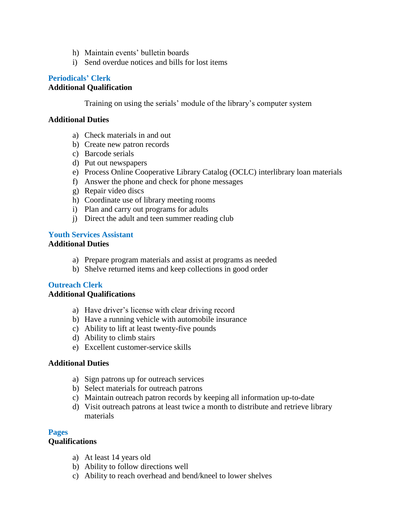- h) Maintain events' bulletin boards
- i) Send overdue notices and bills for lost items

# **Periodicals' Clerk**

### **Additional Qualification**

Training on using the serials' module of the library's computer system

### **Additional Duties**

- a) Check materials in and out
- b) Create new patron records
- c) Barcode serials
- d) Put out newspapers
- e) Process Online Cooperative Library Catalog (OCLC) interlibrary loan materials
- f) Answer the phone and check for phone messages
- g) Repair video discs
- h) Coordinate use of library meeting rooms
- i) Plan and carry out programs for adults
- j) Direct the adult and teen summer reading club

#### **Youth Services Assistant Additional Duties**

- a) Prepare program materials and assist at programs as needed
- b) Shelve returned items and keep collections in good order

### **Outreach Clerk**

#### **Additional Qualifications**

- a) Have driver's license with clear driving record
- b) Have a running vehicle with automobile insurance
- c) Ability to lift at least twenty-five pounds
- d) Ability to climb stairs
- e) Excellent customer-service skills

### **Additional Duties**

- a) Sign patrons up for outreach services
- b) Select materials for outreach patrons
- c) Maintain outreach patron records by keeping all information up-to-date
- d) Visit outreach patrons at least twice a month to distribute and retrieve library materials

### **Pages**

### **Qualifications**

- a) At least 14 years old
- b) Ability to follow directions well
- c) Ability to reach overhead and bend/kneel to lower shelves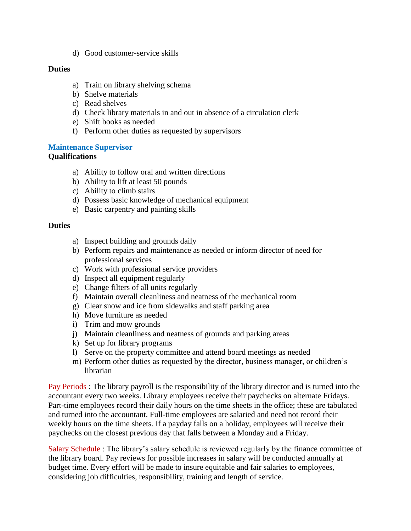d) Good customer-service skills

### **Duties**

- a) Train on library shelving schema
- b) Shelve materials
- c) Read shelves
- d) Check library materials in and out in absence of a circulation clerk
- e) Shift books as needed
- f) Perform other duties as requested by supervisors

### **Maintenance Supervisor**

### **Qualifications**

- a) Ability to follow oral and written directions
- b) Ability to lift at least 50 pounds
- c) Ability to climb stairs
- d) Possess basic knowledge of mechanical equipment
- e) Basic carpentry and painting skills

### **Duties**

- a) Inspect building and grounds daily
- b) Perform repairs and maintenance as needed or inform director of need for professional services
- c) Work with professional service providers
- d) Inspect all equipment regularly
- e) Change filters of all units regularly
- f) Maintain overall cleanliness and neatness of the mechanical room
- g) Clear snow and ice from sidewalks and staff parking area
- h) Move furniture as needed
- i) Trim and mow grounds
- j) Maintain cleanliness and neatness of grounds and parking areas
- k) Set up for library programs
- l) Serve on the property committee and attend board meetings as needed
- m) Perform other duties as requested by the director, business manager, or children's librarian

Pay Periods : The library payroll is the responsibility of the library director and is turned into the accountant every two weeks. Library employees receive their paychecks on alternate Fridays. Part-time employees record their daily hours on the time sheets in the office; these are tabulated and turned into the accountant. Full-time employees are salaried and need not record their weekly hours on the time sheets. If a payday falls on a holiday, employees will receive their paychecks on the closest previous day that falls between a Monday and a Friday.

Salary Schedule : The library's salary schedule is reviewed regularly by the finance committee of the library board. Pay reviews for possible increases in salary will be conducted annually at budget time. Every effort will be made to insure equitable and fair salaries to employees, considering job difficulties, responsibility, training and length of service.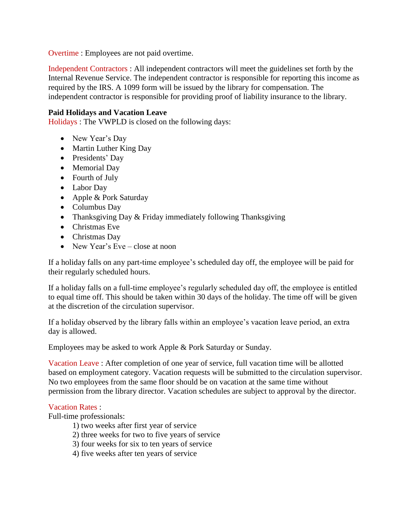Overtime : Employees are not paid overtime.

Independent Contractors : All independent contractors will meet the guidelines set forth by the Internal Revenue Service. The independent contractor is responsible for reporting this income as required by the IRS. A 1099 form will be issued by the library for compensation. The independent contractor is responsible for providing proof of liability insurance to the library.

# **Paid Holidays and Vacation Leave**

Holidays : The VWPLD is closed on the following days:

- New Year's Day
- Martin Luther King Day
- Presidents' Day
- Memorial Day
- Fourth of July
- Labor Day
- Apple & Pork Saturday
- Columbus Day
- Thanksgiving Day & Friday immediately following Thanksgiving
- **Christmas Eve**
- Christmas Dav
- New Year's Eve close at noon

If a holiday falls on any part-time employee's scheduled day off, the employee will be paid for their regularly scheduled hours.

If a holiday falls on a full-time employee's regularly scheduled day off, the employee is entitled to equal time off. This should be taken within 30 days of the holiday. The time off will be given at the discretion of the circulation supervisor.

If a holiday observed by the library falls within an employee's vacation leave period, an extra day is allowed.

Employees may be asked to work Apple & Pork Saturday or Sunday.

Vacation Leave : After completion of one year of service, full vacation time will be allotted based on employment category. Vacation requests will be submitted to the circulation supervisor. No two employees from the same floor should be on vacation at the same time without permission from the library director. Vacation schedules are subject to approval by the director.

### Vacation Rates :

Full-time professionals:

- 1) two weeks after first year of service
- 2) three weeks for two to five years of service
- 3) four weeks for six to ten years of service
- 4) five weeks after ten years of service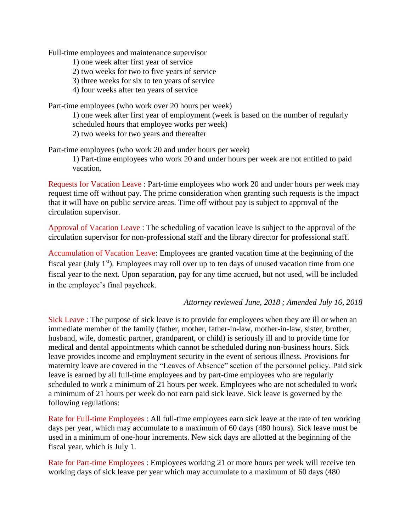Full-time employees and maintenance supervisor

- 1) one week after first year of service
- 2) two weeks for two to five years of service
- 3) three weeks for six to ten years of service
- 4) four weeks after ten years of service

Part-time employees (who work over 20 hours per week)

1) one week after first year of employment (week is based on the number of regularly scheduled hours that employee works per week)

2) two weeks for two years and thereafter

Part-time employees (who work 20 and under hours per week)

1) Part-time employees who work 20 and under hours per week are not entitled to paid vacation.

Requests for Vacation Leave : Part-time employees who work 20 and under hours per week may request time off without pay. The prime consideration when granting such requests is the impact that it will have on public service areas. Time off without pay is subject to approval of the circulation supervisor.

Approval of Vacation Leave : The scheduling of vacation leave is subject to the approval of the circulation supervisor for non-professional staff and the library director for professional staff.

Accumulation of Vacation Leave: Employees are granted vacation time at the beginning of the fiscal year (July  $1<sup>st</sup>$ ). Employees may roll over up to ten days of unused vacation time from one fiscal year to the next. Upon separation, pay for any time accrued, but not used, will be included in the employee's final paycheck.

#### *Attorney reviewed June, 2018 ; Amended July 16, 2018*

Sick Leave : The purpose of sick leave is to provide for employees when they are ill or when an immediate member of the family (father, mother, father-in-law, mother-in-law, sister, brother, husband, wife, domestic partner, grandparent, or child) is seriously ill and to provide time for medical and dental appointments which cannot be scheduled during non-business hours. Sick leave provides income and employment security in the event of serious illness. Provisions for maternity leave are covered in the "Leaves of Absence" section of the personnel policy. Paid sick leave is earned by all full-time employees and by part-time employees who are regularly scheduled to work a minimum of 21 hours per week. Employees who are not scheduled to work a minimum of 21 hours per week do not earn paid sick leave. Sick leave is governed by the following regulations:

Rate for Full-time Employees : All full-time employees earn sick leave at the rate of ten working days per year, which may accumulate to a maximum of 60 days (480 hours). Sick leave must be used in a minimum of one-hour increments. New sick days are allotted at the beginning of the fiscal year, which is July 1.

Rate for Part-time Employees : Employees working 21 or more hours per week will receive ten working days of sick leave per year which may accumulate to a maximum of 60 days (480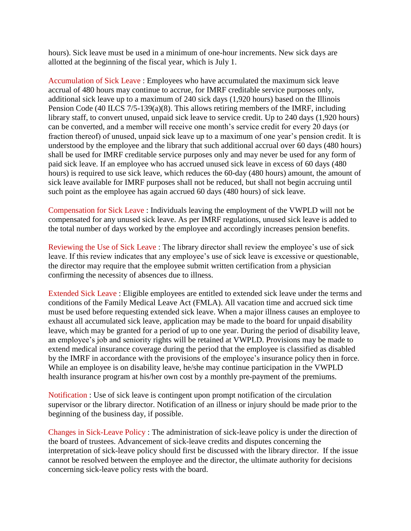hours). Sick leave must be used in a minimum of one-hour increments. New sick days are allotted at the beginning of the fiscal year, which is July 1.

Accumulation of Sick Leave : Employees who have accumulated the maximum sick leave accrual of 480 hours may continue to accrue, for IMRF creditable service purposes only, additional sick leave up to a maximum of 240 sick days (1,920 hours) based on the Illinois Pension Code (40 ILCS 7/5-139(a)(8). This allows retiring members of the IMRF, including library staff, to convert unused, unpaid sick leave to service credit. Up to 240 days (1,920 hours) can be converted, and a member will receive one month's service credit for every 20 days (or fraction thereof) of unused, unpaid sick leave up to a maximum of one year's pension credit. It is understood by the employee and the library that such additional accrual over 60 days (480 hours) shall be used for IMRF creditable service purposes only and may never be used for any form of paid sick leave. If an employee who has accrued unused sick leave in excess of 60 days (480 hours) is required to use sick leave, which reduces the 60-day (480 hours) amount, the amount of sick leave available for IMRF purposes shall not be reduced, but shall not begin accruing until such point as the employee has again accrued 60 days (480 hours) of sick leave.

Compensation for Sick Leave : Individuals leaving the employment of the VWPLD will not be compensated for any unused sick leave. As per IMRF regulations, unused sick leave is added to the total number of days worked by the employee and accordingly increases pension benefits.

Reviewing the Use of Sick Leave : The library director shall review the employee's use of sick leave. If this review indicates that any employee's use of sick leave is excessive or questionable, the director may require that the employee submit written certification from a physician confirming the necessity of absences due to illness.

Extended Sick Leave : Eligible employees are entitled to extended sick leave under the terms and conditions of the Family Medical Leave Act (FMLA). All vacation time and accrued sick time must be used before requesting extended sick leave. When a major illness causes an employee to exhaust all accumulated sick leave, application may be made to the board for unpaid disability leave, which may be granted for a period of up to one year. During the period of disability leave, an employee's job and seniority rights will be retained at VWPLD. Provisions may be made to extend medical insurance coverage during the period that the employee is classified as disabled by the IMRF in accordance with the provisions of the employee's insurance policy then in force. While an employee is on disability leave, he/she may continue participation in the VWPLD health insurance program at his/her own cost by a monthly pre-payment of the premiums.

Notification : Use of sick leave is contingent upon prompt notification of the circulation supervisor or the library director. Notification of an illness or injury should be made prior to the beginning of the business day, if possible.

Changes in Sick-Leave Policy : The administration of sick-leave policy is under the direction of the board of trustees. Advancement of sick-leave credits and disputes concerning the interpretation of sick-leave policy should first be discussed with the library director. If the issue cannot be resolved between the employee and the director, the ultimate authority for decisions concerning sick-leave policy rests with the board.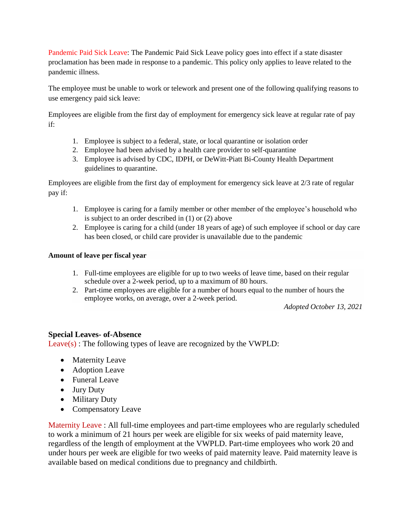Pandemic Paid Sick Leave: The Pandemic Paid Sick Leave policy goes into effect if a state disaster proclamation has been made in response to a pandemic. This policy only applies to leave related to the pandemic illness.

The employee must be unable to work or telework and present one of the following qualifying reasons to use emergency paid sick leave:

Employees are eligible from the first day of employment for emergency sick leave at regular rate of pay if:

- 1. Employee is subject to a federal, state, or local quarantine or isolation order
- 2. Employee had been advised by a health care provider to self-quarantine
- 3. Employee is advised by CDC, IDPH, or DeWitt-Piatt Bi-County Health Department guidelines to quarantine.

Employees are eligible from the first day of employment for emergency sick leave at 2/3 rate of regular pay if:

- 1. Employee is caring for a family member or other member of the employee's household who is subject to an order described in (1) or (2) above
- 2. Employee is caring for a child (under 18 years of age) of such employee if school or day care has been closed, or child care provider is unavailable due to the pandemic

### **Amount of leave per fiscal year**

- 1. Full-time employees are eligible for up to two weeks of leave time, based on their regular schedule over a 2-week period, up to a maximum of 80 hours.
- 2. Part-time employees are eligible for a number of hours equal to the number of hours the employee works, on average, over a 2-week period.

*Adopted October 13, 2021*

### **Special Leaves- of-Absence**

Leave(s) : The following types of leave are recognized by the VWPLD:

- Maternity Leave
- Adoption Leave
- Funeral Leave
- Jury Duty
- Military Duty
- Compensatory Leave

Maternity Leave : All full-time employees and part-time employees who are regularly scheduled to work a minimum of 21 hours per week are eligible for six weeks of paid maternity leave, regardless of the length of employment at the VWPLD. Part-time employees who work 20 and under hours per week are eligible for two weeks of paid maternity leave. Paid maternity leave is available based on medical conditions due to pregnancy and childbirth.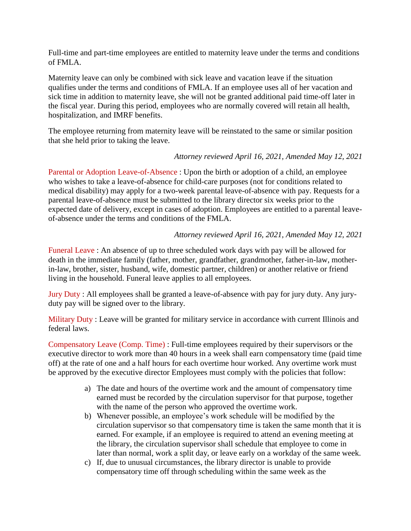Full-time and part-time employees are entitled to maternity leave under the terms and conditions of FMLA.

Maternity leave can only be combined with sick leave and vacation leave if the situation qualifies under the terms and conditions of FMLA. If an employee uses all of her vacation and sick time in addition to maternity leave, she will not be granted additional paid time-off later in the fiscal year. During this period, employees who are normally covered will retain all health, hospitalization, and IMRF benefits.

The employee returning from maternity leave will be reinstated to the same or similar position that she held prior to taking the leave.

# *Attorney reviewed April 16, 2021, Amended May 12, 2021*

Parental or Adoption Leave-of-Absence : Upon the birth or adoption of a child, an employee who wishes to take a leave-of-absence for child-care purposes (not for conditions related to medical disability) may apply for a two-week parental leave-of-absence with pay. Requests for a parental leave-of-absence must be submitted to the library director six weeks prior to the expected date of delivery, except in cases of adoption. Employees are entitled to a parental leaveof-absence under the terms and conditions of the FMLA.

# *Attorney reviewed April 16, 2021, Amended May 12, 2021*

Funeral Leave : An absence of up to three scheduled work days with pay will be allowed for death in the immediate family (father, mother, grandfather, grandmother, father-in-law, motherin-law, brother, sister, husband, wife, domestic partner, children) or another relative or friend living in the household. Funeral leave applies to all employees.

Jury Duty : All employees shall be granted a leave-of-absence with pay for jury duty. Any juryduty pay will be signed over to the library.

Military Duty : Leave will be granted for military service in accordance with current Illinois and federal laws.

Compensatory Leave (Comp. Time) : Full-time employees required by their supervisors or the executive director to work more than 40 hours in a week shall earn compensatory time (paid time off) at the rate of one and a half hours for each overtime hour worked. Any overtime work must be approved by the executive director Employees must comply with the policies that follow:

- a) The date and hours of the overtime work and the amount of compensatory time earned must be recorded by the circulation supervisor for that purpose, together with the name of the person who approved the overtime work.
- b) Whenever possible, an employee's work schedule will be modified by the circulation supervisor so that compensatory time is taken the same month that it is earned. For example, if an employee is required to attend an evening meeting at the library, the circulation supervisor shall schedule that employee to come in later than normal, work a split day, or leave early on a workday of the same week.
- c) If, due to unusual circumstances, the library director is unable to provide compensatory time off through scheduling within the same week as the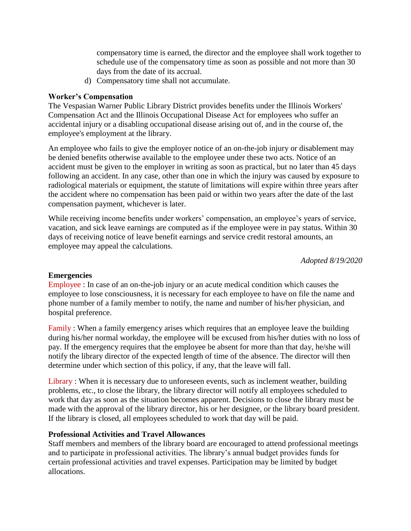compensatory time is earned, the director and the employee shall work together to schedule use of the compensatory time as soon as possible and not more than 30 days from the date of its accrual.

d) Compensatory time shall not accumulate.

# **Worker's Compensation**

The Vespasian Warner Public Library District provides benefits under the Illinois Workers' Compensation Act and the Illinois Occupational Disease Act for employees who suffer an accidental injury or a disabling occupational disease arising out of, and in the course of, the employee's employment at the library.

An employee who fails to give the employer notice of an on-the-job injury or disablement may be denied benefits otherwise available to the employee under these two acts. Notice of an accident must be given to the employer in writing as soon as practical, but no later than 45 days following an accident. In any case, other than one in which the injury was caused by exposure to radiological materials or equipment, the statute of limitations will expire within three years after the accident where no compensation has been paid or within two years after the date of the last compensation payment, whichever is later.

While receiving income benefits under workers' compensation, an employee's years of service, vacation, and sick leave earnings are computed as if the employee were in pay status. Within 30 days of receiving notice of leave benefit earnings and service credit restoral amounts, an employee may appeal the calculations.

*Adopted 8/19/2020*

### **Emergencies**

Employee : In case of an on-the-job injury or an acute medical condition which causes the employee to lose consciousness, it is necessary for each employee to have on file the name and phone number of a family member to notify, the name and number of his/her physician, and hospital preference.

Family : When a family emergency arises which requires that an employee leave the building during his/her normal workday, the employee will be excused from his/her duties with no loss of pay. If the emergency requires that the employee be absent for more than that day, he/she will notify the library director of the expected length of time of the absence. The director will then determine under which section of this policy, if any, that the leave will fall.

Library : When it is necessary due to unforeseen events, such as inclement weather, building problems, etc., to close the library, the library director will notify all employees scheduled to work that day as soon as the situation becomes apparent. Decisions to close the library must be made with the approval of the library director, his or her designee, or the library board president. If the library is closed, all employees scheduled to work that day will be paid.

### **Professional Activities and Travel Allowances**

Staff members and members of the library board are encouraged to attend professional meetings and to participate in professional activities. The library's annual budget provides funds for certain professional activities and travel expenses. Participation may be limited by budget allocations.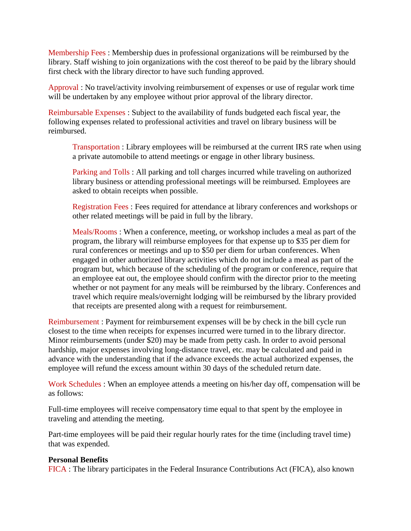Membership Fees : Membership dues in professional organizations will be reimbursed by the library. Staff wishing to join organizations with the cost thereof to be paid by the library should first check with the library director to have such funding approved.

Approval : No travel/activity involving reimbursement of expenses or use of regular work time will be undertaken by any employee without prior approval of the library director.

Reimbursable Expenses : Subject to the availability of funds budgeted each fiscal year, the following expenses related to professional activities and travel on library business will be reimbursed.

Transportation : Library employees will be reimbursed at the current IRS rate when using a private automobile to attend meetings or engage in other library business.

Parking and Tolls : All parking and toll charges incurred while traveling on authorized library business or attending professional meetings will be reimbursed. Employees are asked to obtain receipts when possible.

Registration Fees : Fees required for attendance at library conferences and workshops or other related meetings will be paid in full by the library.

Meals/Rooms : When a conference, meeting, or workshop includes a meal as part of the program, the library will reimburse employees for that expense up to \$35 per diem for rural conferences or meetings and up to \$50 per diem for urban conferences. When engaged in other authorized library activities which do not include a meal as part of the program but, which because of the scheduling of the program or conference, require that an employee eat out, the employee should confirm with the director prior to the meeting whether or not payment for any meals will be reimbursed by the library. Conferences and travel which require meals/overnight lodging will be reimbursed by the library provided that receipts are presented along with a request for reimbursement.

Reimbursement : Payment for reimbursement expenses will be by check in the bill cycle run closest to the time when receipts for expenses incurred were turned in to the library director. Minor reimbursements (under \$20) may be made from petty cash. In order to avoid personal hardship, major expenses involving long-distance travel, etc. may be calculated and paid in advance with the understanding that if the advance exceeds the actual authorized expenses, the employee will refund the excess amount within 30 days of the scheduled return date.

Work Schedules : When an employee attends a meeting on his/her day off, compensation will be as follows:

Full-time employees will receive compensatory time equal to that spent by the employee in traveling and attending the meeting.

Part-time employees will be paid their regular hourly rates for the time (including travel time) that was expended.

### **Personal Benefits**

FICA : The library participates in the Federal Insurance Contributions Act (FICA), also known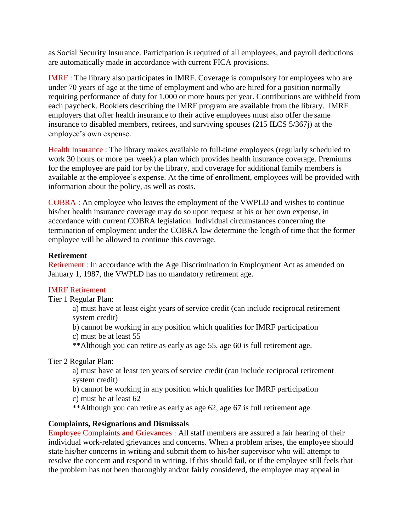as Social Security Insurance. Participation is required of all employees, and payroll deductions are automatically made in accordance with current FICA provisions.

IMRF : The library also participates in IMRF. Coverage is compulsory for employees who are under 70 years of age at the time of employment and who are hired for a position normally requiring performance of duty for 1,000 or more hours per year. Contributions are withheld from each paycheck. Booklets describing the IMRF program are available from the library. IMRF employers that offer health insurance to their active employees must also offer the same insurance to disabled members, retirees, and surviving spouses (215 ILCS 5/367j) at the employee's own expense.

Health Insurance : The library makes available to full-time employees (regularly scheduled to work 30 hours or more per week) a plan which provides health insurance coverage. Premiums for the employee are paid for by the library, and coverage for additional family members is available at the employee's expense. At the time of enrollment, employees will be provided with information about the policy, as well as costs.

COBRA : An employee who leaves the employment of the VWPLD and wishes to continue his/her health insurance coverage may do so upon request at his or her own expense, in accordance with current COBRA legislation. Individual circumstances concerning the termination of employment under the COBRA law determine the length of time that the former employee will be allowed to continue this coverage.

### **Retirement**

Retirement : In accordance with the Age Discrimination in Employment Act as amended on January 1, 1987, the VWPLD has no mandatory retirement age.

# IMRF Retirement

Tier 1 Regular Plan:

a) must have at least eight years of service credit (can include reciprocal retirement system credit)

b) cannot be working in any position which qualifies for IMRF participation

c) must be at least 55

\*\*Although you can retire as early as age 55, age 60 is full retirement age.

Tier 2 Regular Plan:

a) must have at least ten years of service credit (can include reciprocal retirement system credit)

b) cannot be working in any position which qualifies for IMRF participation

c) must be at least 62

\*\*Although you can retire as early as age 62, age 67 is full retirement age.

# **Complaints, Resignations and Dismissals**

Employee Complaints and Grievances : All staff members are assured a fair hearing of their individual work-related grievances and concerns. When a problem arises, the employee should state his/her concerns in writing and submit them to his/her supervisor who will attempt to resolve the concern and respond in writing. If this should fail, or if the employee still feels that the problem has not been thoroughly and/or fairly considered, the employee may appeal in